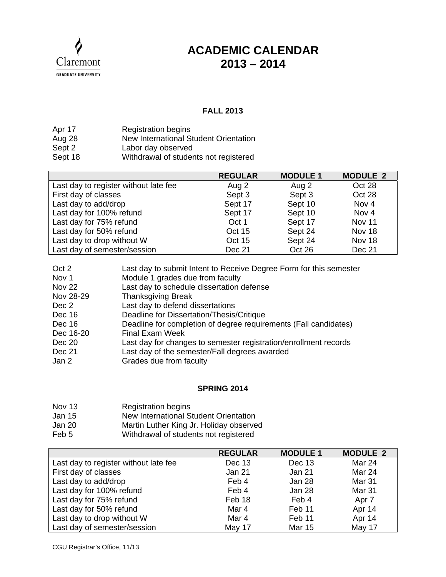

## **ACADEMIC CALENDAR 2013 – 2014**

## **FALL 2013**

| Apr 17  | <b>Registration begins</b>            |
|---------|---------------------------------------|
| Aug 28  | New International Student Orientation |
| Sept 2  | Labor day observed                    |
| Sept 18 | Withdrawal of students not registered |

|                                       | <b>REGULAR</b> | <b>MODULE 1</b> | <b>MODULE 2</b>  |
|---------------------------------------|----------------|-----------------|------------------|
| Last day to register without late fee | Aug 2          | Aug 2           | Oct 28           |
| First day of classes                  | Sept 3         | Sept 3          | Oct 28           |
| Last day to add/drop                  | Sept 17        | Sept 10         | Nov <sub>4</sub> |
| Last day for 100% refund              | Sept 17        | Sept 10         | Nov 4            |
| Last day for 75% refund               | Oct 1          | Sept 17         | Nov 11           |
| Last day for 50% refund               | Oct 15         | Sept 24         | Nov 18           |
| Last day to drop without W            | Oct 15         | Sept 24         | Nov 18           |
| Last day of semester/session          | Dec 21         | Oct 26          | Dec 21           |

| Oct 2         | Last day to submit Intent to Receive Degree Form for this semester |
|---------------|--------------------------------------------------------------------|
| Nov 1         | Module 1 grades due from faculty                                   |
| <b>Nov 22</b> | Last day to schedule dissertation defense                          |
| Nov 28-29     | <b>Thanksgiving Break</b>                                          |
| Dec 2         | Last day to defend dissertations                                   |
| Dec 16        | Deadline for Dissertation/Thesis/Critique                          |
| Dec 16        | Deadline for completion of degree requirements (Fall candidates)   |
| Dec 16-20     | <b>Final Exam Week</b>                                             |
| Dec 20        | Last day for changes to semester registration/enrollment records   |
| <b>Dec 21</b> | Last day of the semester/Fall degrees awarded                      |
| Jan 2         | Grades due from faculty                                            |

## **SPRING 2014**

- Nov 13 Registration begins
- Jan 15 New International Student Orientation
- Jan 20 Martin Luther King Jr. Holiday observed
- Feb 5 Withdrawal of students not registered

|                                       | <b>REGULAR</b> | <b>MODULE 1</b> | <b>MODULE 2</b> |
|---------------------------------------|----------------|-----------------|-----------------|
| Last day to register without late fee | Dec 13         | Dec 13          | Mar 24          |
| First day of classes                  | <b>Jan 21</b>  | Jan 21          | Mar 24          |
| Last day to add/drop                  | Feb 4          | Jan 28          | Mar 31          |
| Last day for 100% refund              | Feb 4          | Jan 28          | Mar 31          |
| Last day for 75% refund               | Feb 18         | Feb 4           | Apr 7           |
| Last day for 50% refund               | Mar 4          | Feb 11          | Apr 14          |
| Last day to drop without W            | Mar 4          | Feb 11          | Apr 14          |
| Last day of semester/session          | May 17         | <b>Mar 15</b>   | May 17          |